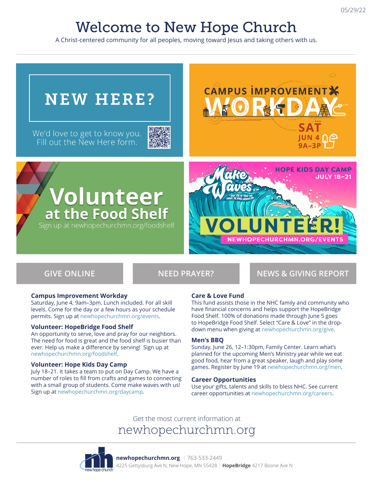## Welcome to New Hope Church

A Christ-centered community for all peoples, moving toward Jesus and taking others with us.

# **CAMPUS IMPROVEMENT NEW HERE?** We'd love to get to know you.<br>Fill out the New Here form. **JUN 4 NO**  $9A-3P$ **HOPE KIDS DAY CAMP JULY 18-21 Volunteer**<br>at the Food Shelf Sign up at newhopechurchmn.org/foodshelf

**GIVE ONLINE NEED PRAYER? NEWS & GIVING REPORT**

#### **Campus Improvement Workday**

Saturday, June 4, 9am–3pm. Lunch included. For all skill levels. Come for the day or a few hours as your schedule permits. Sign up at newhopechurchmn.org/events.

#### **Volunteer: HopeBridge Food Shelf**

An opportunity to serve, love and pray for our neighbors. The need for food is great and the food shelf is busier than ever. Help us make a difference by serving! Sign up at newhopechurchmn.org/foodshelf.

#### **Volunteer: Hope Kids Day Camp**

July 18–21. It takes a team to put on Day Camp. We have a number of roles to fill from crafts and games to connecting with a small group of students. Come make waves with us! Sign up at newhopechurchmn.org/daycamp.

#### **Care & Love Fund**

This fund assists those in the NHC family and community who have financial concerns and helps support the HopeBridge Food Shelf. 100% of donations made through June 5 goes to HopeBridge Food Shelf. Select "Care & Love" in the dropdown menu when giving at newhopechurchmn.org/give.

#### **Men's BBQ**

Sunday, June 26, 12–1:30pm, Family Center. Learn what's planned for the upcoming Men's Ministry year while we eat good food, hear from a great speaker, laugh and play some games. Register by June 19 at newhopechurchmn.org/men.

#### **Career Opportunities**

Use your gifts, talents and skills to bless NHC. See current career opportunities at newhopechurchmn.org/careers.

Get the most current information at newhopechurchmn.org